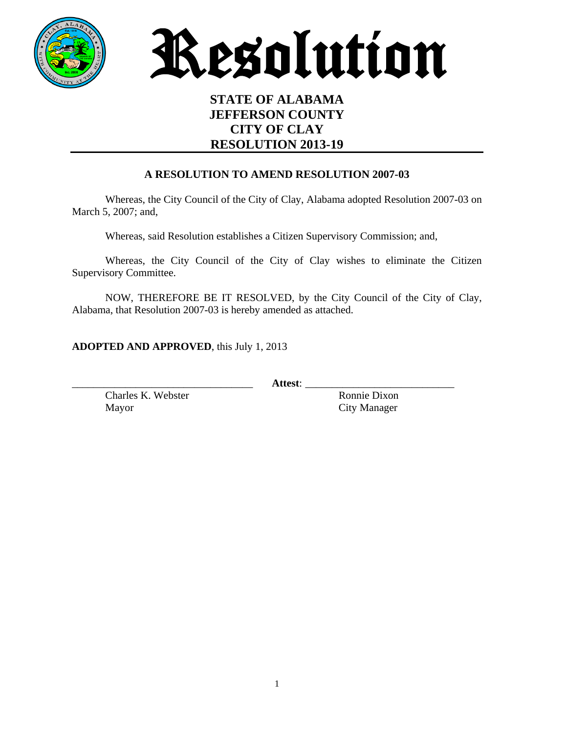



## **STATE OF ALABAMA JEFFERSON COUNTY CITY OF CLAY RESOLUTION 2013-19**

#### **A RESOLUTION TO AMEND RESOLUTION 2007-03**

Whereas, the City Council of the City of Clay, Alabama adopted Resolution 2007-03 on March 5, 2007; and,

Whereas, said Resolution establishes a Citizen Supervisory Commission; and,

Whereas, the City Council of the City of Clay wishes to eliminate the Citizen Supervisory Committee.

NOW, THEREFORE BE IT RESOLVED, by the City Council of the City of Clay, Alabama, that Resolution 2007-03 is hereby amended as attached.

**ADOPTED AND APPROVED**, this July 1, 2013

\_\_\_\_\_\_\_\_\_\_\_\_\_\_\_\_\_\_\_\_\_\_\_\_\_\_\_\_\_\_\_\_\_\_ **Attest**: \_\_\_\_\_\_\_\_\_\_\_\_\_\_\_\_\_\_\_\_\_\_\_\_\_\_\_\_

Charles K. Webster Ronnie Dixon Mayor City Manager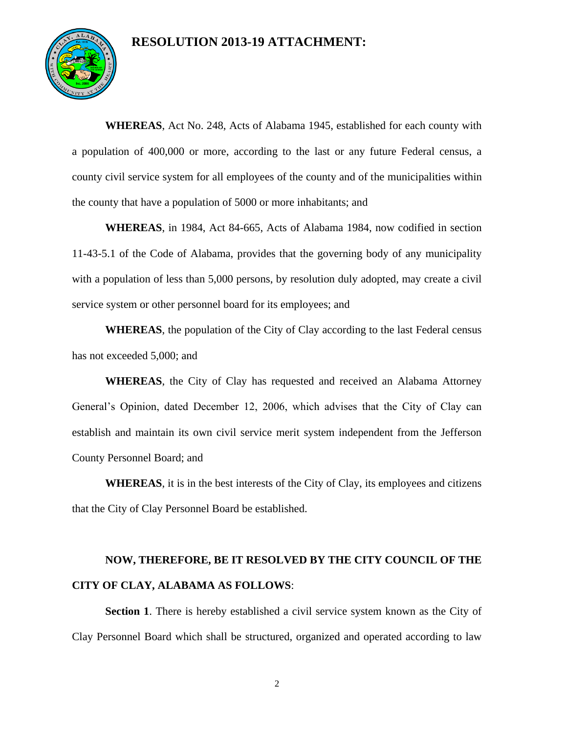### **RESOLUTION 2013-19 ATTACHMENT:**



**WHEREAS**, Act No. 248, Acts of Alabama 1945, established for each county with a population of 400,000 or more, according to the last or any future Federal census, a county civil service system for all employees of the county and of the municipalities within the county that have a population of 5000 or more inhabitants; and

**WHEREAS**, in 1984, Act 84-665, Acts of Alabama 1984, now codified in section 11-43-5.1 of the Code of Alabama, provides that the governing body of any municipality with a population of less than 5,000 persons, by resolution duly adopted, may create a civil service system or other personnel board for its employees; and

**WHEREAS**, the population of the City of Clay according to the last Federal census has not exceeded 5,000; and

**WHEREAS**, the City of Clay has requested and received an Alabama Attorney General's Opinion, dated December 12, 2006, which advises that the City of Clay can establish and maintain its own civil service merit system independent from the Jefferson County Personnel Board; and

**WHEREAS**, it is in the best interests of the City of Clay, its employees and citizens that the City of Clay Personnel Board be established.

# **NOW, THEREFORE, BE IT RESOLVED BY THE CITY COUNCIL OF THE CITY OF CLAY, ALABAMA AS FOLLOWS**:

**Section 1**. There is hereby established a civil service system known as the City of Clay Personnel Board which shall be structured, organized and operated according to law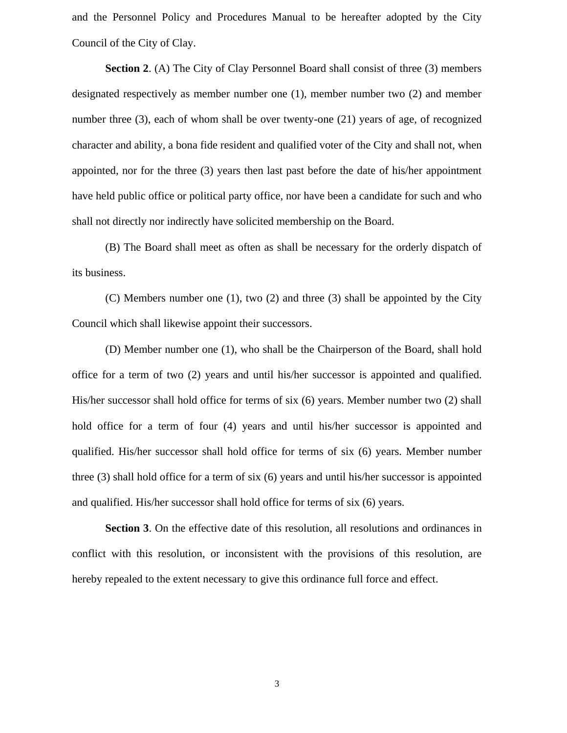and the Personnel Policy and Procedures Manual to be hereafter adopted by the City Council of the City of Clay.

**Section 2.** (A) The City of Clay Personnel Board shall consist of three (3) members designated respectively as member number one (1), member number two (2) and member number three (3), each of whom shall be over twenty-one (21) years of age, of recognized character and ability, a bona fide resident and qualified voter of the City and shall not, when appointed, nor for the three (3) years then last past before the date of his/her appointment have held public office or political party office, nor have been a candidate for such and who shall not directly nor indirectly have solicited membership on the Board.

(B) The Board shall meet as often as shall be necessary for the orderly dispatch of its business.

(C) Members number one (1), two (2) and three (3) shall be appointed by the City Council which shall likewise appoint their successors.

(D) Member number one (1), who shall be the Chairperson of the Board, shall hold office for a term of two (2) years and until his/her successor is appointed and qualified. His/her successor shall hold office for terms of six (6) years. Member number two (2) shall hold office for a term of four (4) years and until his/her successor is appointed and qualified. His/her successor shall hold office for terms of six (6) years. Member number three (3) shall hold office for a term of six (6) years and until his/her successor is appointed and qualified. His/her successor shall hold office for terms of six (6) years.

**Section 3**. On the effective date of this resolution, all resolutions and ordinances in conflict with this resolution, or inconsistent with the provisions of this resolution, are hereby repealed to the extent necessary to give this ordinance full force and effect.